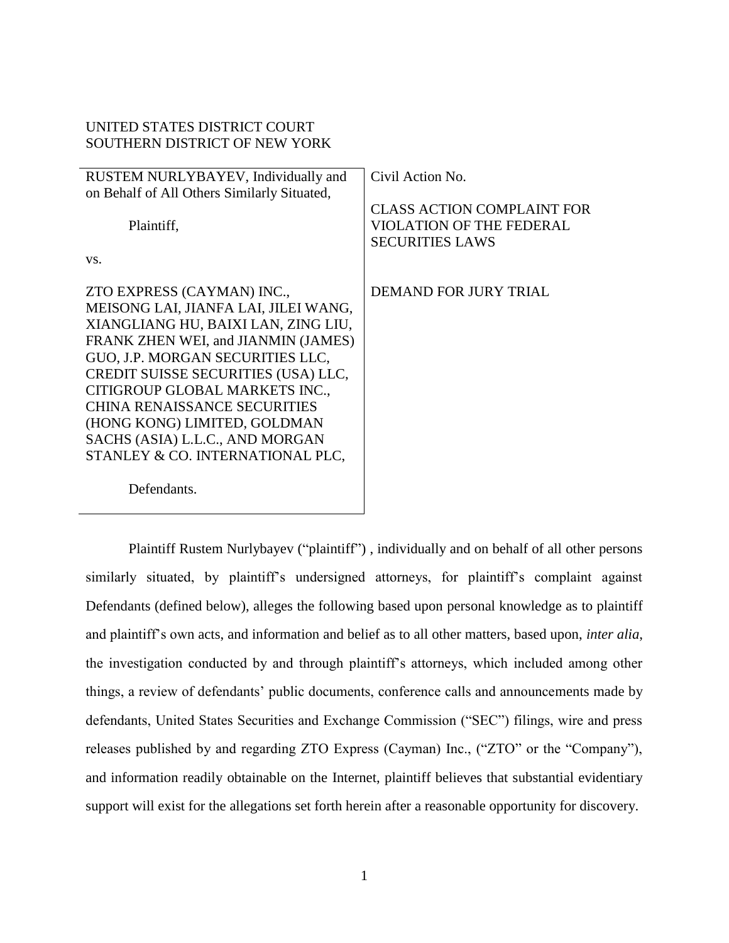# UNITED STATES DISTRICT COURT SOUTHERN DISTRICT OF NEW YORK

| RUSTEM NURLYBAYEV, Individually and         | Civil Action No.                                                                               |
|---------------------------------------------|------------------------------------------------------------------------------------------------|
| on Behalf of All Others Similarly Situated, |                                                                                                |
| Plaintiff,<br>VS.                           | <b>CLASS ACTION COMPLAINT FOR</b><br><b>VIOLATION OF THE FEDERAL</b><br><b>SECURITIES LAWS</b> |
|                                             |                                                                                                |
| ZTO EXPRESS (CAYMAN) INC.,                  | <b>DEMAND FOR JURY TRIAL</b>                                                                   |
| MEISONG LAI, JIANFA LAI, JILEI WANG,        |                                                                                                |
| XIANGLIANG HU, BAIXI LAN, ZING LIU,         |                                                                                                |
| FRANK ZHEN WEI, and JIANMIN (JAMES)         |                                                                                                |
| GUO, J.P. MORGAN SECURITIES LLC,            |                                                                                                |
| CREDIT SUISSE SECURITIES (USA) LLC,         |                                                                                                |
| CITIGROUP GLOBAL MARKETS INC.,              |                                                                                                |
| <b>CHINA RENAISSANCE SECURITIES</b>         |                                                                                                |
| (HONG KONG) LIMITED, GOLDMAN                |                                                                                                |
| SACHS (ASIA) L.L.C., AND MORGAN             |                                                                                                |
| STANLEY & CO. INTERNATIONAL PLC,            |                                                                                                |
| Defendants.                                 |                                                                                                |

Plaintiff Rustem Nurlybayev ("plaintiff") , individually and on behalf of all other persons similarly situated, by plaintiff's undersigned attorneys, for plaintiff's complaint against Defendants (defined below), alleges the following based upon personal knowledge as to plaintiff and plaintiff's own acts, and information and belief as to all other matters, based upon, *inter alia*, the investigation conducted by and through plaintiff's attorneys, which included among other things, a review of defendants' public documents, conference calls and announcements made by defendants, United States Securities and Exchange Commission ("SEC") filings, wire and press releases published by and regarding ZTO Express (Cayman) Inc., ("ZTO" or the "Company"), and information readily obtainable on the Internet, plaintiff believes that substantial evidentiary support will exist for the allegations set forth herein after a reasonable opportunity for discovery.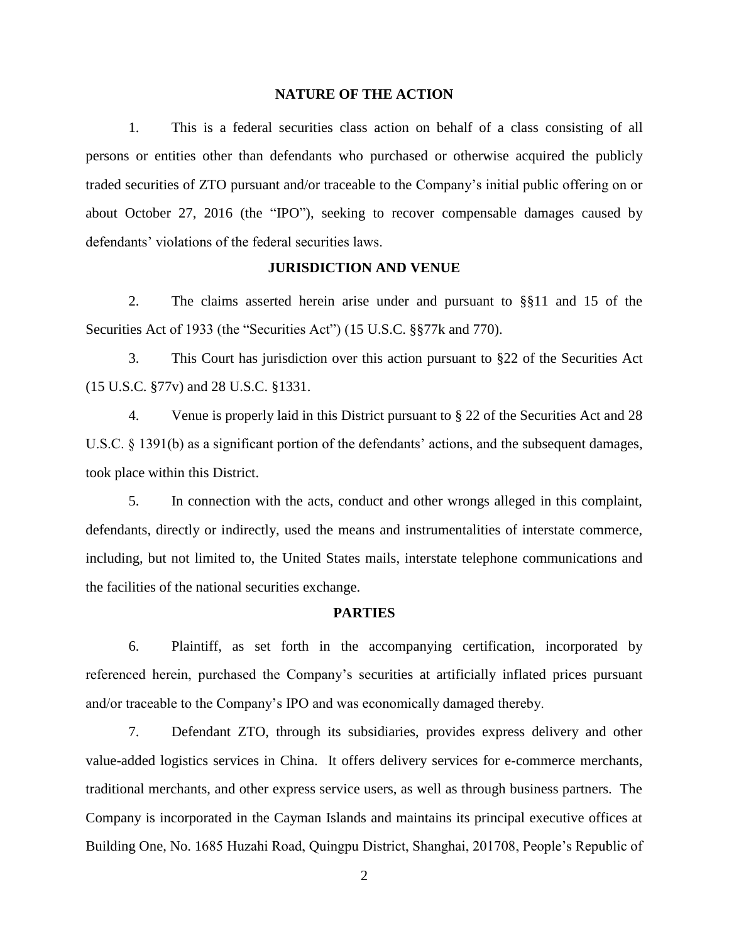## **NATURE OF THE ACTION**

1. This is a federal securities class action on behalf of a class consisting of all persons or entities other than defendants who purchased or otherwise acquired the publicly traded securities of ZTO pursuant and/or traceable to the Company's initial public offering on or about October 27, 2016 (the "IPO"), seeking to recover compensable damages caused by defendants' violations of the federal securities laws.

## **JURISDICTION AND VENUE**

2. The claims asserted herein arise under and pursuant to §§11 and 15 of the Securities Act of 1933 (the "Securities Act") (15 U.S.C. §§77k and 770).

3. This Court has jurisdiction over this action pursuant to §22 of the Securities Act (15 U.S.C. §77v) and 28 U.S.C. §1331.

4. Venue is properly laid in this District pursuant to § 22 of the Securities Act and 28 U.S.C. § 1391(b) as a significant portion of the defendants' actions, and the subsequent damages, took place within this District.

5. In connection with the acts, conduct and other wrongs alleged in this complaint, defendants, directly or indirectly, used the means and instrumentalities of interstate commerce, including, but not limited to, the United States mails, interstate telephone communications and the facilities of the national securities exchange.

#### **PARTIES**

6. Plaintiff, as set forth in the accompanying certification, incorporated by referenced herein, purchased the Company's securities at artificially inflated prices pursuant and/or traceable to the Company's IPO and was economically damaged thereby.

7. Defendant ZTO, through its subsidiaries, provides express delivery and other value-added logistics services in China. It offers delivery services for e-commerce merchants, traditional merchants, and other express service users, as well as through business partners. The Company is incorporated in the Cayman Islands and maintains its principal executive offices at Building One, No. 1685 Huzahi Road, Quingpu District, Shanghai, 201708, People's Republic of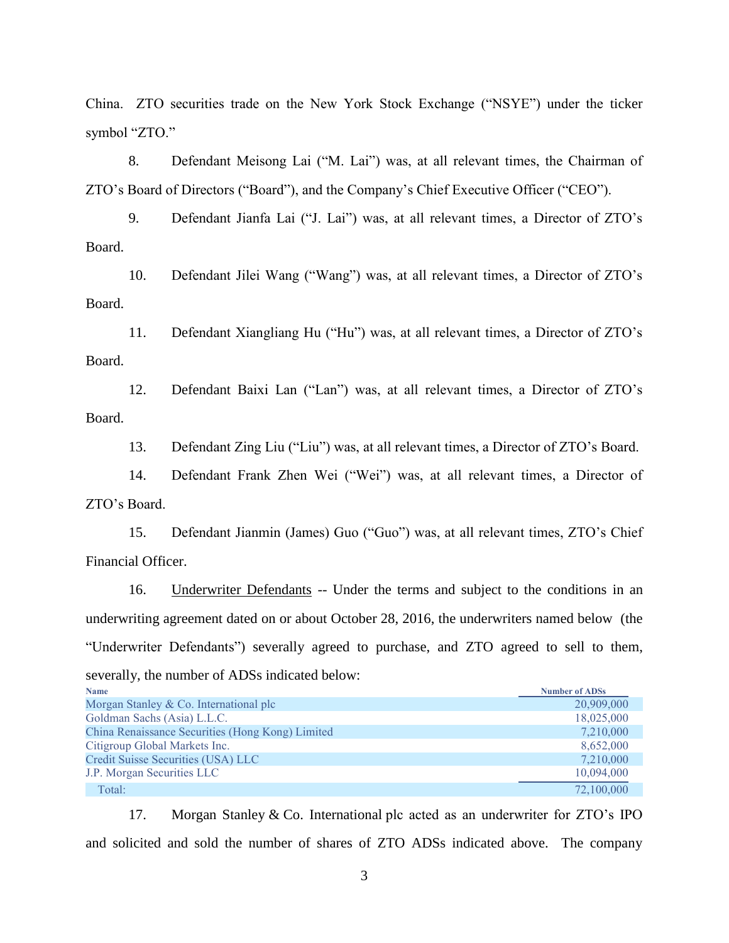China. ZTO securities trade on the New York Stock Exchange ("NSYE") under the ticker symbol "ZTO."

8. Defendant Meisong Lai ("M. Lai") was, at all relevant times, the Chairman of ZTO's Board of Directors ("Board"), and the Company's Chief Executive Officer ("CEO").

9. Defendant Jianfa Lai ("J. Lai") was, at all relevant times, a Director of ZTO's Board.

10. Defendant Jilei Wang ("Wang") was, at all relevant times, a Director of ZTO's Board.

11. Defendant Xiangliang Hu ("Hu") was, at all relevant times, a Director of ZTO's Board.

12. Defendant Baixi Lan ("Lan") was, at all relevant times, a Director of ZTO's Board.

13. Defendant Zing Liu ("Liu") was, at all relevant times, a Director of ZTO's Board.

14. Defendant Frank Zhen Wei ("Wei") was, at all relevant times, a Director of ZTO's Board.

15. Defendant Jianmin (James) Guo ("Guo") was, at all relevant times, ZTO's Chief Financial Officer.

16. Underwriter Defendants -- Under the terms and subject to the conditions in an underwriting agreement dated on or about October 28, 2016, the underwriters named below (the "Underwriter Defendants") severally agreed to purchase, and ZTO agreed to sell to them, severally, the number of ADSs indicated below:

| <b>Name</b>                                      | <b>Number of ADSs</b> |
|--------------------------------------------------|-----------------------|
| Morgan Stanley & Co. International plc           | 20,909,000            |
| Goldman Sachs (Asia) L.L.C.                      | 18,025,000            |
| China Renaissance Securities (Hong Kong) Limited | 7,210,000             |
| Citigroup Global Markets Inc.                    | 8,652,000             |
| Credit Suisse Securities (USA) LLC               | 7,210,000             |
| J.P. Morgan Securities LLC                       | 10,094,000            |
| Total:                                           | 72,100,000            |

17. Morgan Stanley & Co. International plc acted as an underwriter for ZTO's IPO and solicited and sold the number of shares of ZTO ADSs indicated above. The company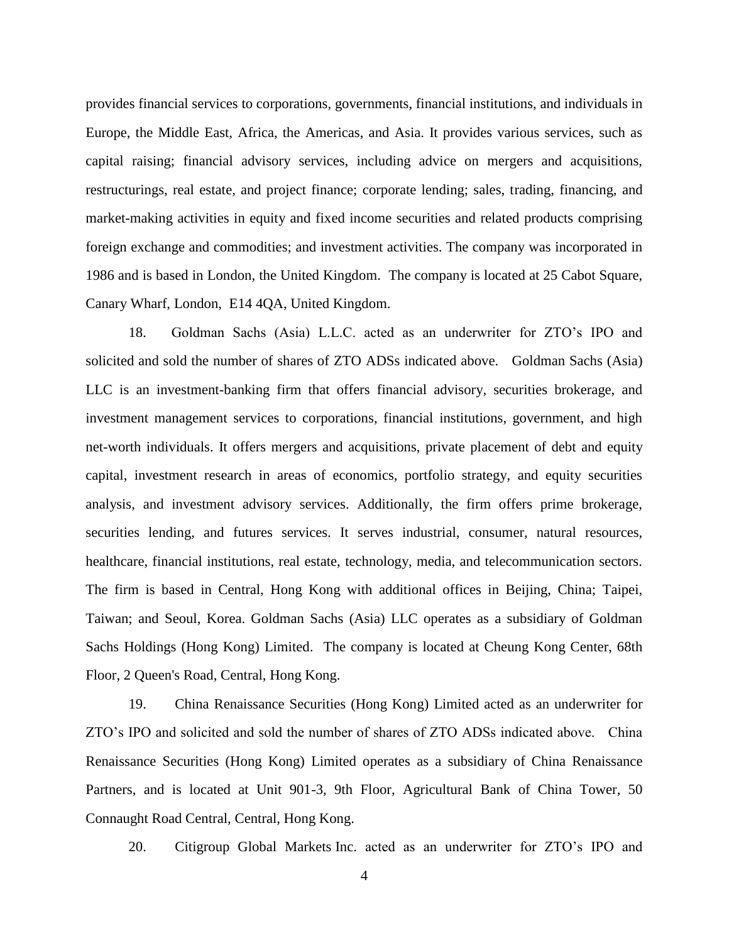provides financial services to corporations, governments, financial institutions, and individuals in Europe, the Middle East, Africa, the Americas, and Asia. It provides various services, such as capital raising; financial advisory services, including advice on mergers and acquisitions, restructurings, real estate, and project finance; corporate lending; sales, trading, financing, and market-making activities in equity and fixed income securities and related products comprising foreign exchange and commodities; and investment activities. The company was incorporated in 1986 and is based in London, the United Kingdom. The company is located at 25 Cabot Square, Canary Wharf, London, E14 4QA, United Kingdom.

18. Goldman Sachs (Asia) L.L.C. acted as an underwriter for ZTO's IPO and solicited and sold the number of shares of ZTO ADSs indicated above. Goldman Sachs (Asia) LLC is an investment-banking firm that offers financial advisory, securities brokerage, and investment management services to corporations, financial institutions, government, and high net-worth individuals. It offers mergers and acquisitions, private placement of debt and equity capital, investment research in areas of economics, portfolio strategy, and equity securities analysis, and investment advisory services. Additionally, the firm offers prime brokerage, securities lending, and futures services. It serves industrial, consumer, natural resources, healthcare, financial institutions, real estate, technology, media, and telecommunication sectors. The firm is based in Central, Hong Kong with additional offices in Beijing, China; Taipei, Taiwan; and Seoul, Korea. Goldman Sachs (Asia) LLC operates as a subsidiary of Goldman Sachs Holdings (Hong Kong) Limited. The company is located at Cheung Kong Center, 68th Floor, 2 Queen's Road, Central, Hong Kong.

19. China Renaissance Securities (Hong Kong) Limited acted as an underwriter for ZTO's IPO and solicited and sold the number of shares of ZTO ADSs indicated above. China Renaissance Securities (Hong Kong) Limited operates as a subsidiary of China Renaissance Partners, and is located at Unit 901-3, 9th Floor, Agricultural Bank of China Tower, 50 Connaught Road Central, Central, Hong Kong.

20. Citigroup Global Markets Inc. acted as an underwriter for ZTO's IPO and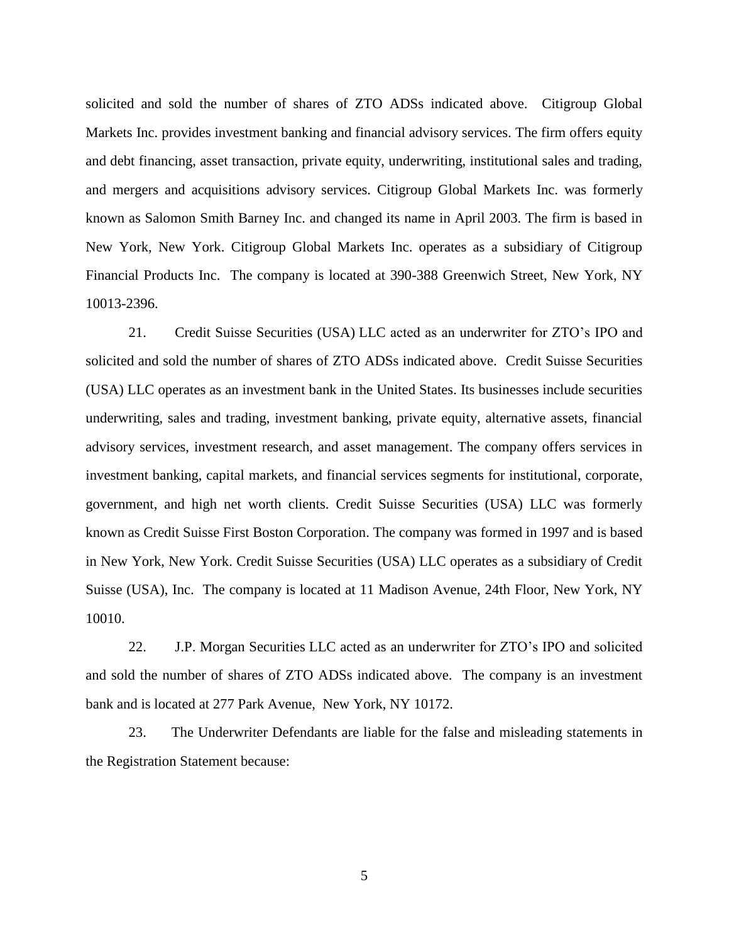solicited and sold the number of shares of ZTO ADSs indicated above. Citigroup Global Markets Inc. provides investment banking and financial advisory services. The firm offers equity and debt financing, asset transaction, private equity, underwriting, institutional sales and trading, and mergers and acquisitions advisory services. Citigroup Global Markets Inc. was formerly known as Salomon Smith Barney Inc. and changed its name in April 2003. The firm is based in New York, New York. Citigroup Global Markets Inc. operates as a subsidiary of Citigroup Financial Products Inc. The company is located at 390-388 Greenwich Street, New York, NY 10013-2396.

21. Credit Suisse Securities (USA) LLC acted as an underwriter for ZTO's IPO and solicited and sold the number of shares of ZTO ADSs indicated above. Credit Suisse Securities (USA) LLC operates as an investment bank in the United States. Its businesses include securities underwriting, sales and trading, investment banking, private equity, alternative assets, financial advisory services, investment research, and asset management. The company offers services in investment banking, capital markets, and financial services segments for institutional, corporate, government, and high net worth clients. Credit Suisse Securities (USA) LLC was formerly known as Credit Suisse First Boston Corporation. The company was formed in 1997 and is based in New York, New York. Credit Suisse Securities (USA) LLC operates as a subsidiary of Credit Suisse (USA), Inc. The company is located at 11 Madison Avenue, 24th Floor, New York, NY 10010.

22. J.P. Morgan Securities LLC acted as an underwriter for ZTO's IPO and solicited and sold the number of shares of ZTO ADSs indicated above. The company is an investment bank and is located at 277 Park Avenue, New York, NY 10172.

23. The Underwriter Defendants are liable for the false and misleading statements in the Registration Statement because: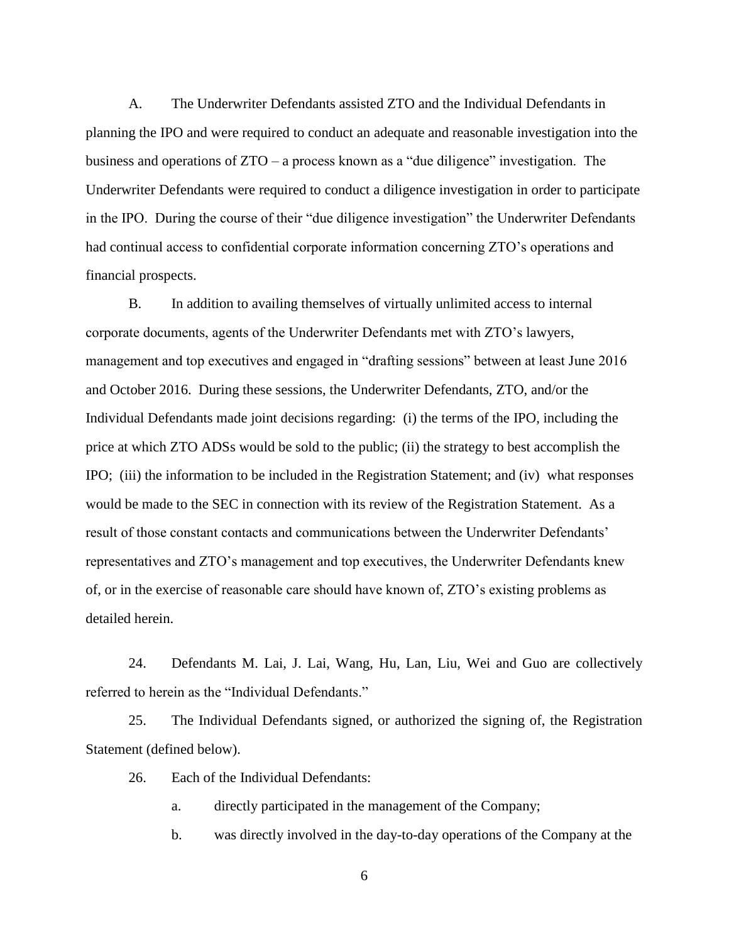A. The Underwriter Defendants assisted ZTO and the Individual Defendants in planning the IPO and were required to conduct an adequate and reasonable investigation into the business and operations of ZTO – a process known as a "due diligence" investigation. The Underwriter Defendants were required to conduct a diligence investigation in order to participate in the IPO. During the course of their "due diligence investigation" the Underwriter Defendants had continual access to confidential corporate information concerning ZTO's operations and financial prospects.

B. In addition to availing themselves of virtually unlimited access to internal corporate documents, agents of the Underwriter Defendants met with ZTO's lawyers, management and top executives and engaged in "drafting sessions" between at least June 2016 and October 2016. During these sessions, the Underwriter Defendants, ZTO, and/or the Individual Defendants made joint decisions regarding: (i) the terms of the IPO, including the price at which ZTO ADSs would be sold to the public; (ii) the strategy to best accomplish the IPO; (iii) the information to be included in the Registration Statement; and (iv) what responses would be made to the SEC in connection with its review of the Registration Statement. As a result of those constant contacts and communications between the Underwriter Defendants' representatives and ZTO's management and top executives, the Underwriter Defendants knew of, or in the exercise of reasonable care should have known of, ZTO's existing problems as detailed herein.

24. Defendants M. Lai, J. Lai, Wang, Hu, Lan, Liu, Wei and Guo are collectively referred to herein as the "Individual Defendants."

25. The Individual Defendants signed, or authorized the signing of, the Registration Statement (defined below).

26. Each of the Individual Defendants:

a. directly participated in the management of the Company;

b. was directly involved in the day-to-day operations of the Company at the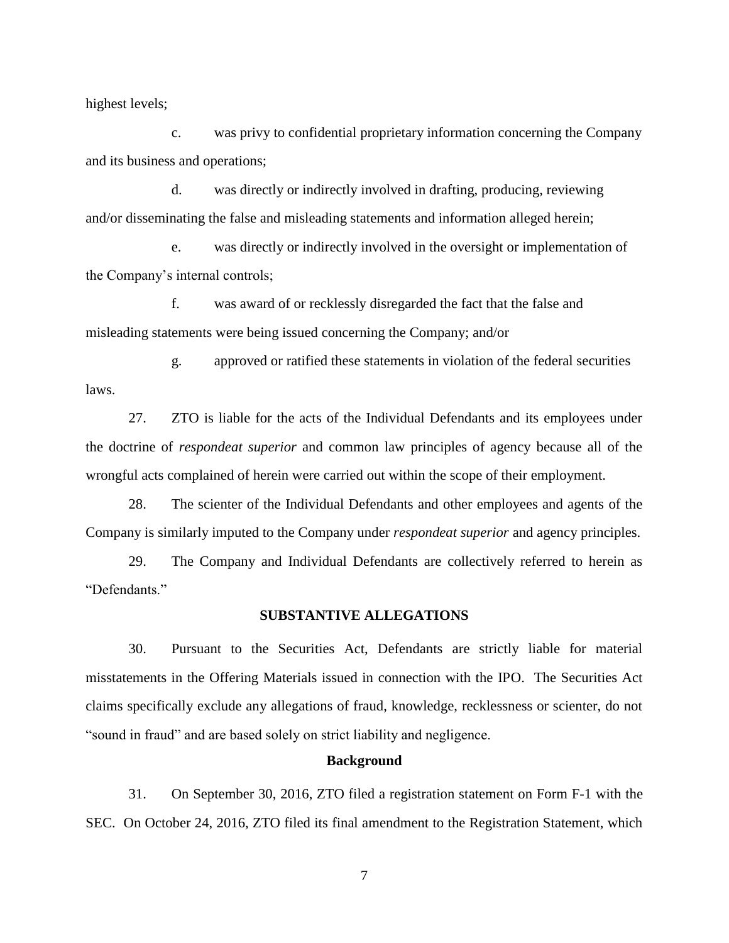highest levels;

c. was privy to confidential proprietary information concerning the Company and its business and operations;

d. was directly or indirectly involved in drafting, producing, reviewing and/or disseminating the false and misleading statements and information alleged herein;

e. was directly or indirectly involved in the oversight or implementation of the Company's internal controls;

f. was award of or recklessly disregarded the fact that the false and misleading statements were being issued concerning the Company; and/or

g. approved or ratified these statements in violation of the federal securities laws.

27. ZTO is liable for the acts of the Individual Defendants and its employees under the doctrine of *respondeat superior* and common law principles of agency because all of the wrongful acts complained of herein were carried out within the scope of their employment.

28. The scienter of the Individual Defendants and other employees and agents of the Company is similarly imputed to the Company under *respondeat superior* and agency principles.

29. The Company and Individual Defendants are collectively referred to herein as "Defendants."

## **SUBSTANTIVE ALLEGATIONS**

30. Pursuant to the Securities Act, Defendants are strictly liable for material misstatements in the Offering Materials issued in connection with the IPO. The Securities Act claims specifically exclude any allegations of fraud, knowledge, recklessness or scienter, do not "sound in fraud" and are based solely on strict liability and negligence.

#### **Background**

31. On September 30, 2016, ZTO filed a registration statement on Form F-1 with the SEC. On October 24, 2016, ZTO filed its final amendment to the Registration Statement, which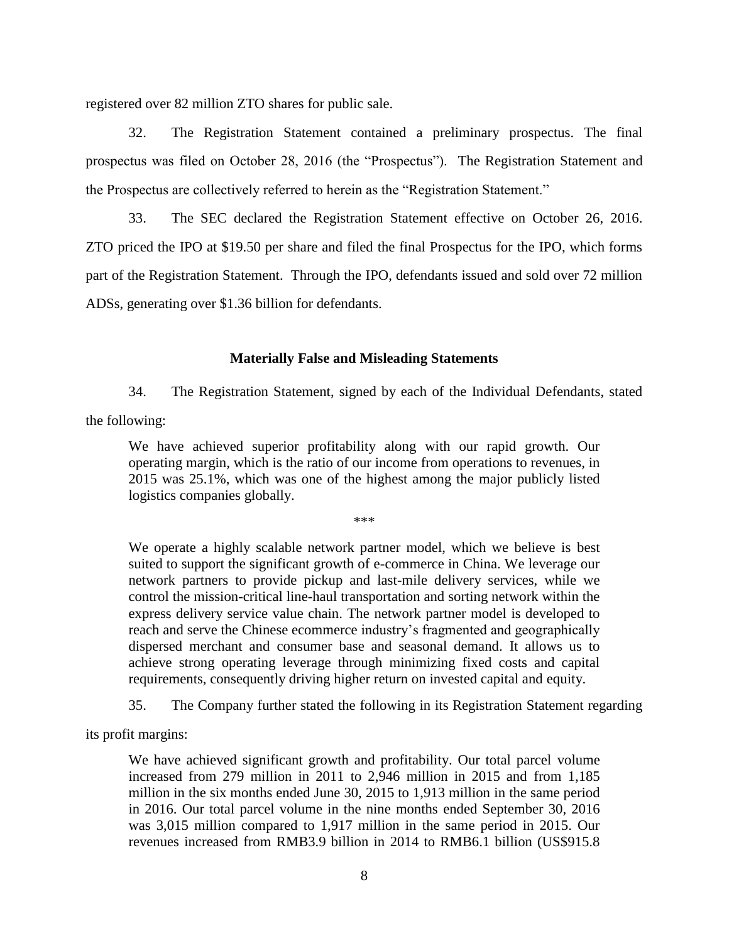registered over 82 million ZTO shares for public sale.

32. The Registration Statement contained a preliminary prospectus. The final prospectus was filed on October 28, 2016 (the "Prospectus"). The Registration Statement and the Prospectus are collectively referred to herein as the "Registration Statement."

33. The SEC declared the Registration Statement effective on October 26, 2016. ZTO priced the IPO at \$19.50 per share and filed the final Prospectus for the IPO, which forms part of the Registration Statement. Through the IPO, defendants issued and sold over 72 million ADSs, generating over \$1.36 billion for defendants.

## **Materially False and Misleading Statements**

34. The Registration Statement, signed by each of the Individual Defendants, stated

the following:

We have achieved superior profitability along with our rapid growth. Our operating margin, which is the ratio of our income from operations to revenues, in 2015 was 25.1%, which was one of the highest among the major publicly listed logistics companies globally.

\*\*\*

We operate a highly scalable network partner model, which we believe is best suited to support the significant growth of e-commerce in China. We leverage our network partners to provide pickup and last-mile delivery services, while we control the mission-critical line-haul transportation and sorting network within the express delivery service value chain. The network partner model is developed to reach and serve the Chinese ecommerce industry's fragmented and geographically dispersed merchant and consumer base and seasonal demand. It allows us to achieve strong operating leverage through minimizing fixed costs and capital requirements, consequently driving higher return on invested capital and equity.

35. The Company further stated the following in its Registration Statement regarding

its profit margins:

We have achieved significant growth and profitability. Our total parcel volume increased from 279 million in 2011 to 2,946 million in 2015 and from 1,185 million in the six months ended June 30, 2015 to 1,913 million in the same period in 2016. Our total parcel volume in the nine months ended September 30, 2016 was 3,015 million compared to 1,917 million in the same period in 2015. Our revenues increased from RMB3.9 billion in 2014 to RMB6.1 billion (US\$915.8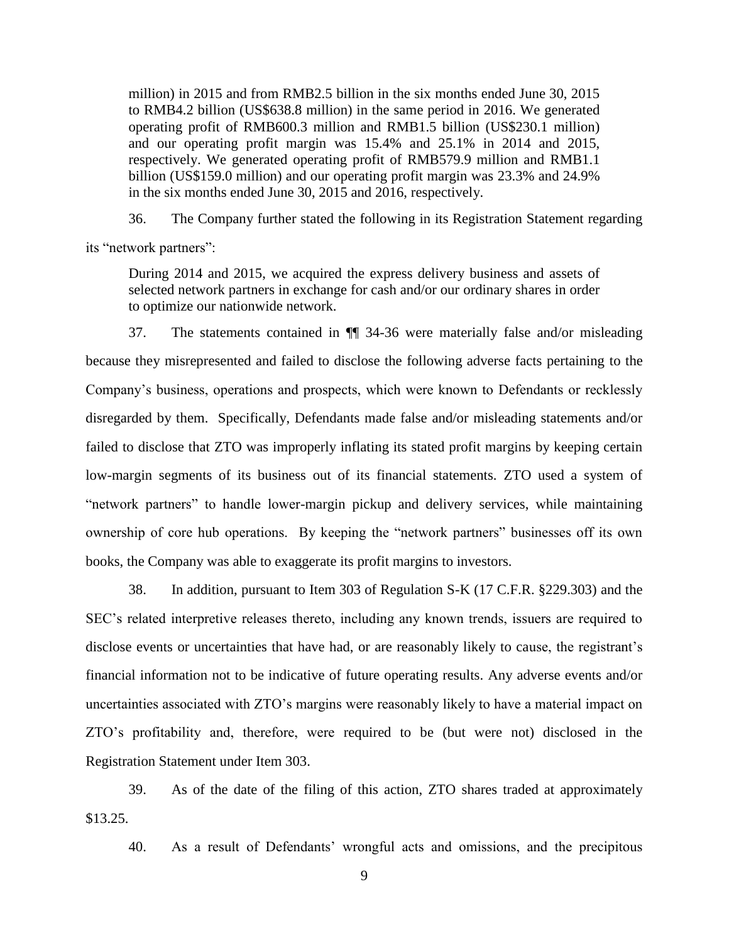million) in 2015 and from RMB2.5 billion in the six months ended June 30, 2015 to RMB4.2 billion (US\$638.8 million) in the same period in 2016. We generated operating profit of RMB600.3 million and RMB1.5 billion (US\$230.1 million) and our operating profit margin was 15.4% and 25.1% in 2014 and 2015, respectively. We generated operating profit of RMB579.9 million and RMB1.1 billion (US\$159.0 million) and our operating profit margin was 23.3% and 24.9% in the six months ended June 30, 2015 and 2016, respectively.

36. The Company further stated the following in its Registration Statement regarding its "network partners":

During 2014 and 2015, we acquired the express delivery business and assets of selected network partners in exchange for cash and/or our ordinary shares in order to optimize our nationwide network.

37. The statements contained in ¶¶ 34-36 were materially false and/or misleading because they misrepresented and failed to disclose the following adverse facts pertaining to the Company's business, operations and prospects, which were known to Defendants or recklessly disregarded by them. Specifically, Defendants made false and/or misleading statements and/or failed to disclose that ZTO was improperly inflating its stated profit margins by keeping certain low-margin segments of its business out of its financial statements. ZTO used a system of "network partners" to handle lower-margin pickup and delivery services, while maintaining ownership of core hub operations. By keeping the "network partners" businesses off its own books, the Company was able to exaggerate its profit margins to investors.

38. In addition, pursuant to Item 303 of Regulation S-K (17 C.F.R. §229.303) and the SEC's related interpretive releases thereto, including any known trends, issuers are required to disclose events or uncertainties that have had, or are reasonably likely to cause, the registrant's financial information not to be indicative of future operating results. Any adverse events and/or uncertainties associated with ZTO's margins were reasonably likely to have a material impact on ZTO's profitability and, therefore, were required to be (but were not) disclosed in the Registration Statement under Item 303.

39. As of the date of the filing of this action, ZTO shares traded at approximately \$13.25.

40. As a result of Defendants' wrongful acts and omissions, and the precipitous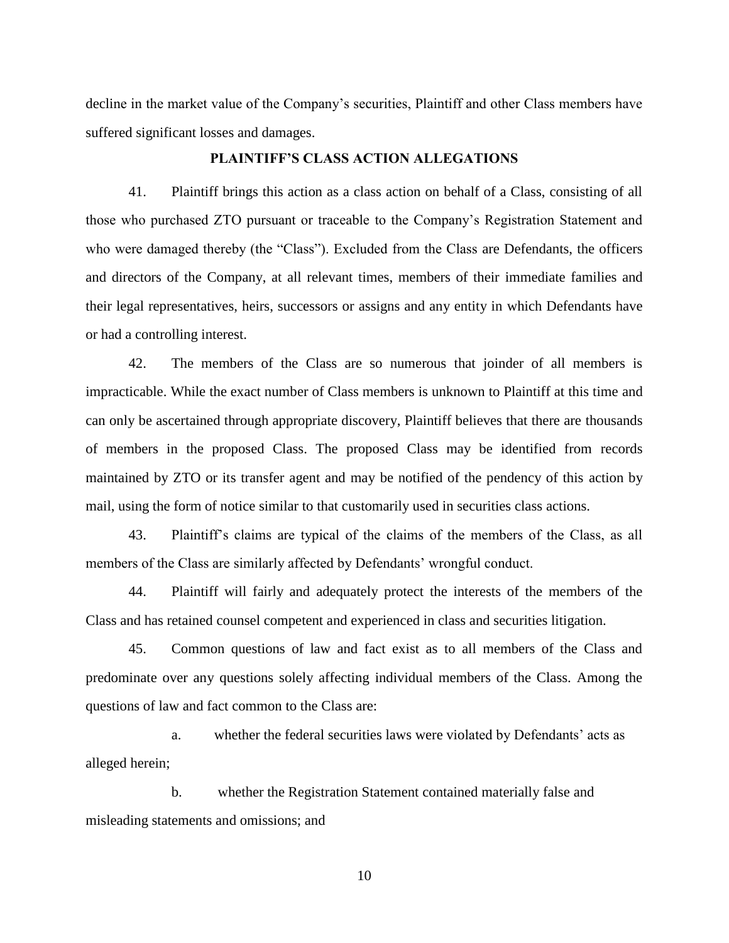decline in the market value of the Company's securities, Plaintiff and other Class members have suffered significant losses and damages.

# **PLAINTIFF'S CLASS ACTION ALLEGATIONS**

41. Plaintiff brings this action as a class action on behalf of a Class, consisting of all those who purchased ZTO pursuant or traceable to the Company's Registration Statement and who were damaged thereby (the "Class"). Excluded from the Class are Defendants, the officers and directors of the Company, at all relevant times, members of their immediate families and their legal representatives, heirs, successors or assigns and any entity in which Defendants have or had a controlling interest.

42. The members of the Class are so numerous that joinder of all members is impracticable. While the exact number of Class members is unknown to Plaintiff at this time and can only be ascertained through appropriate discovery, Plaintiff believes that there are thousands of members in the proposed Class. The proposed Class may be identified from records maintained by ZTO or its transfer agent and may be notified of the pendency of this action by mail, using the form of notice similar to that customarily used in securities class actions.

43. Plaintiff's claims are typical of the claims of the members of the Class, as all members of the Class are similarly affected by Defendants' wrongful conduct.

44. Plaintiff will fairly and adequately protect the interests of the members of the Class and has retained counsel competent and experienced in class and securities litigation.

45. Common questions of law and fact exist as to all members of the Class and predominate over any questions solely affecting individual members of the Class. Among the questions of law and fact common to the Class are:

a. whether the federal securities laws were violated by Defendants' acts as alleged herein;

b. whether the Registration Statement contained materially false and misleading statements and omissions; and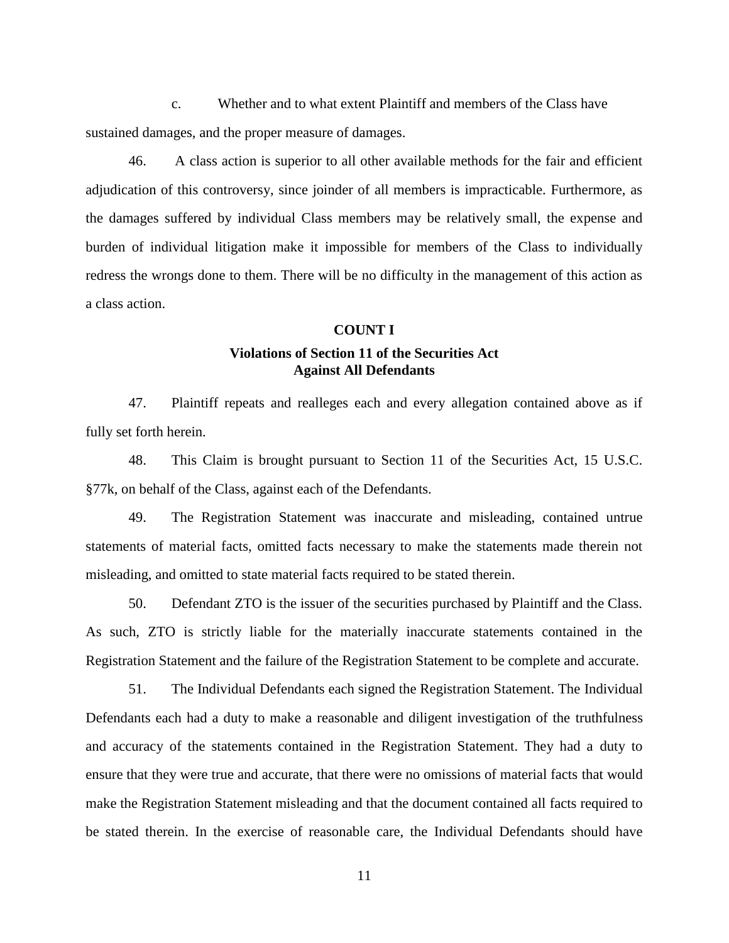c. Whether and to what extent Plaintiff and members of the Class have sustained damages, and the proper measure of damages.

46. A class action is superior to all other available methods for the fair and efficient adjudication of this controversy, since joinder of all members is impracticable. Furthermore, as the damages suffered by individual Class members may be relatively small, the expense and burden of individual litigation make it impossible for members of the Class to individually redress the wrongs done to them. There will be no difficulty in the management of this action as a class action.

#### **COUNT I**

# **Violations of Section 11 of the Securities Act Against All Defendants**

47. Plaintiff repeats and realleges each and every allegation contained above as if fully set forth herein.

48. This Claim is brought pursuant to Section 11 of the Securities Act, 15 U.S.C. §77k, on behalf of the Class, against each of the Defendants.

49. The Registration Statement was inaccurate and misleading, contained untrue statements of material facts, omitted facts necessary to make the statements made therein not misleading, and omitted to state material facts required to be stated therein.

50. Defendant ZTO is the issuer of the securities purchased by Plaintiff and the Class. As such, ZTO is strictly liable for the materially inaccurate statements contained in the Registration Statement and the failure of the Registration Statement to be complete and accurate.

51. The Individual Defendants each signed the Registration Statement. The Individual Defendants each had a duty to make a reasonable and diligent investigation of the truthfulness and accuracy of the statements contained in the Registration Statement. They had a duty to ensure that they were true and accurate, that there were no omissions of material facts that would make the Registration Statement misleading and that the document contained all facts required to be stated therein. In the exercise of reasonable care, the Individual Defendants should have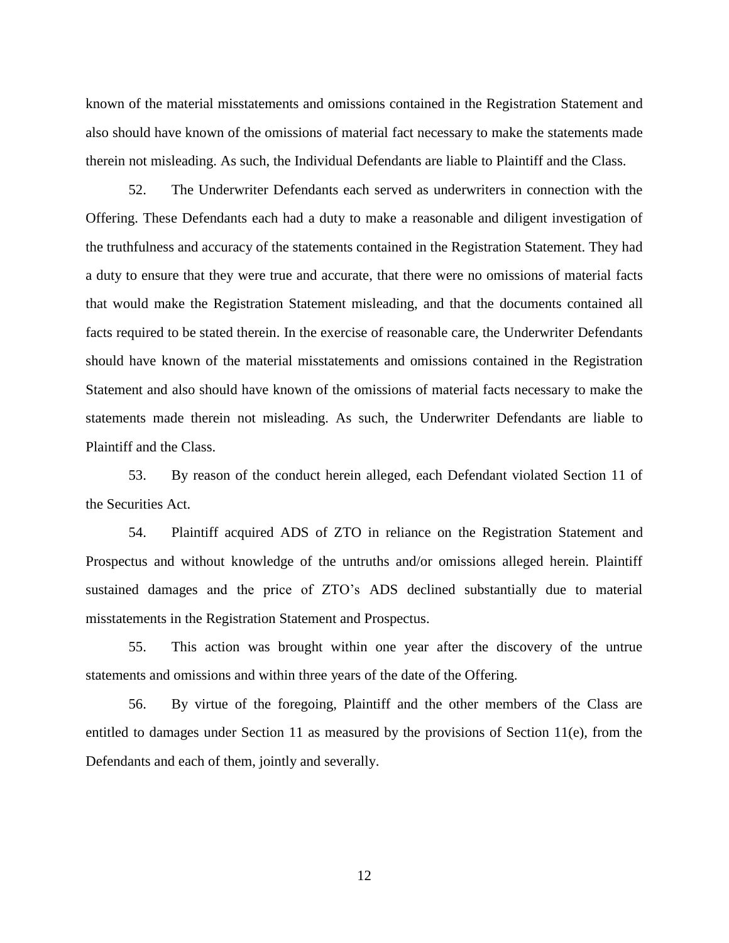known of the material misstatements and omissions contained in the Registration Statement and also should have known of the omissions of material fact necessary to make the statements made therein not misleading. As such, the Individual Defendants are liable to Plaintiff and the Class.

52. The Underwriter Defendants each served as underwriters in connection with the Offering. These Defendants each had a duty to make a reasonable and diligent investigation of the truthfulness and accuracy of the statements contained in the Registration Statement. They had a duty to ensure that they were true and accurate, that there were no omissions of material facts that would make the Registration Statement misleading, and that the documents contained all facts required to be stated therein. In the exercise of reasonable care, the Underwriter Defendants should have known of the material misstatements and omissions contained in the Registration Statement and also should have known of the omissions of material facts necessary to make the statements made therein not misleading. As such, the Underwriter Defendants are liable to Plaintiff and the Class.

53. By reason of the conduct herein alleged, each Defendant violated Section 11 of the Securities Act.

54. Plaintiff acquired ADS of ZTO in reliance on the Registration Statement and Prospectus and without knowledge of the untruths and/or omissions alleged herein. Plaintiff sustained damages and the price of ZTO's ADS declined substantially due to material misstatements in the Registration Statement and Prospectus.

55. This action was brought within one year after the discovery of the untrue statements and omissions and within three years of the date of the Offering.

56. By virtue of the foregoing, Plaintiff and the other members of the Class are entitled to damages under Section 11 as measured by the provisions of Section 11(e), from the Defendants and each of them, jointly and severally.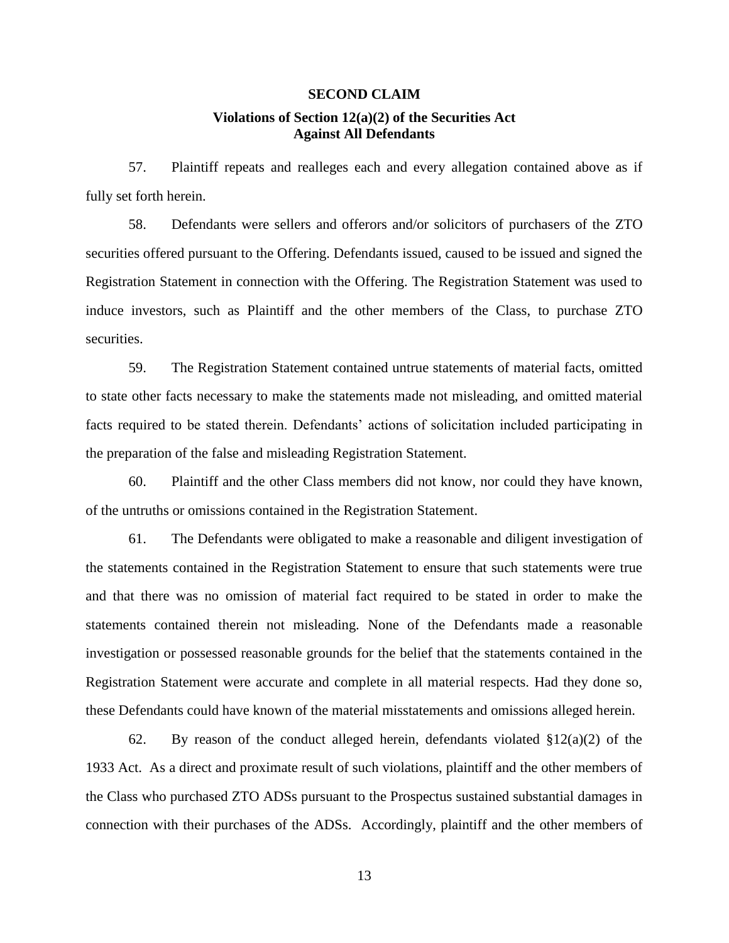# **SECOND CLAIM Violations of Section 12(a)(2) of the Securities Act Against All Defendants**

57. Plaintiff repeats and realleges each and every allegation contained above as if fully set forth herein.

58. Defendants were sellers and offerors and/or solicitors of purchasers of the ZTO securities offered pursuant to the Offering. Defendants issued, caused to be issued and signed the Registration Statement in connection with the Offering. The Registration Statement was used to induce investors, such as Plaintiff and the other members of the Class, to purchase ZTO securities.

59. The Registration Statement contained untrue statements of material facts, omitted to state other facts necessary to make the statements made not misleading, and omitted material facts required to be stated therein. Defendants' actions of solicitation included participating in the preparation of the false and misleading Registration Statement.

60. Plaintiff and the other Class members did not know, nor could they have known, of the untruths or omissions contained in the Registration Statement.

61. The Defendants were obligated to make a reasonable and diligent investigation of the statements contained in the Registration Statement to ensure that such statements were true and that there was no omission of material fact required to be stated in order to make the statements contained therein not misleading. None of the Defendants made a reasonable investigation or possessed reasonable grounds for the belief that the statements contained in the Registration Statement were accurate and complete in all material respects. Had they done so, these Defendants could have known of the material misstatements and omissions alleged herein.

62. By reason of the conduct alleged herein, defendants violated  $\S 12(a)(2)$  of the 1933 Act. As a direct and proximate result of such violations, plaintiff and the other members of the Class who purchased ZTO ADSs pursuant to the Prospectus sustained substantial damages in connection with their purchases of the ADSs. Accordingly, plaintiff and the other members of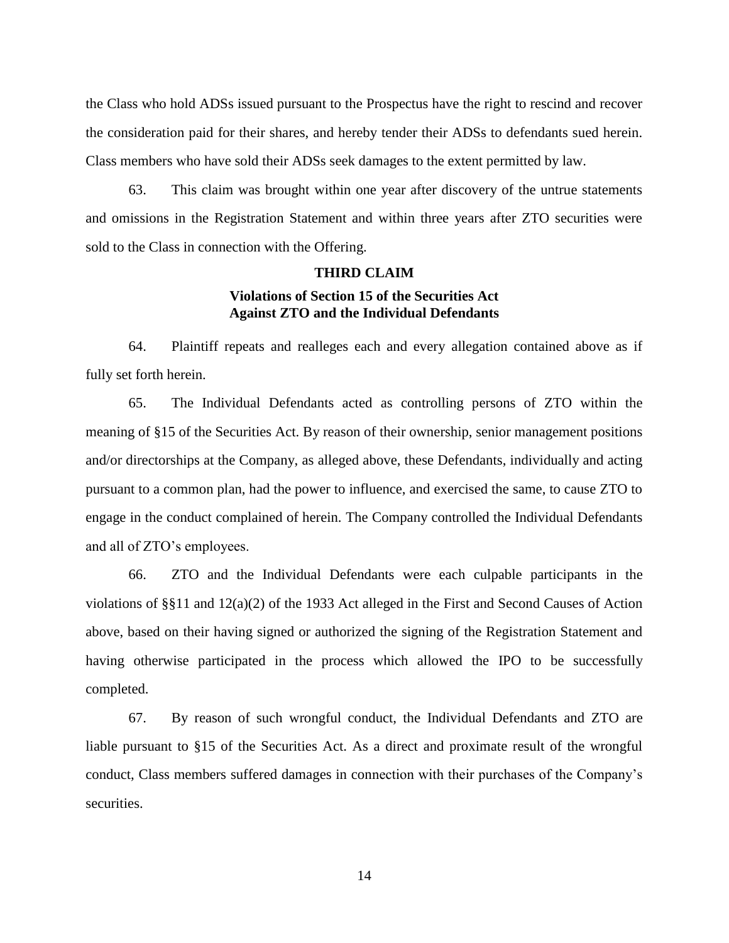the Class who hold ADSs issued pursuant to the Prospectus have the right to rescind and recover the consideration paid for their shares, and hereby tender their ADSs to defendants sued herein. Class members who have sold their ADSs seek damages to the extent permitted by law.

63. This claim was brought within one year after discovery of the untrue statements and omissions in the Registration Statement and within three years after ZTO securities were sold to the Class in connection with the Offering.

## **THIRD CLAIM**

# **Violations of Section 15 of the Securities Act Against ZTO and the Individual Defendants**

64. Plaintiff repeats and realleges each and every allegation contained above as if fully set forth herein.

65. The Individual Defendants acted as controlling persons of ZTO within the meaning of §15 of the Securities Act. By reason of their ownership, senior management positions and/or directorships at the Company, as alleged above, these Defendants, individually and acting pursuant to a common plan, had the power to influence, and exercised the same, to cause ZTO to engage in the conduct complained of herein. The Company controlled the Individual Defendants and all of ZTO's employees.

66. ZTO and the Individual Defendants were each culpable participants in the violations of §§11 and 12(a)(2) of the 1933 Act alleged in the First and Second Causes of Action above, based on their having signed or authorized the signing of the Registration Statement and having otherwise participated in the process which allowed the IPO to be successfully completed.

67. By reason of such wrongful conduct, the Individual Defendants and ZTO are liable pursuant to §15 of the Securities Act. As a direct and proximate result of the wrongful conduct, Class members suffered damages in connection with their purchases of the Company's securities.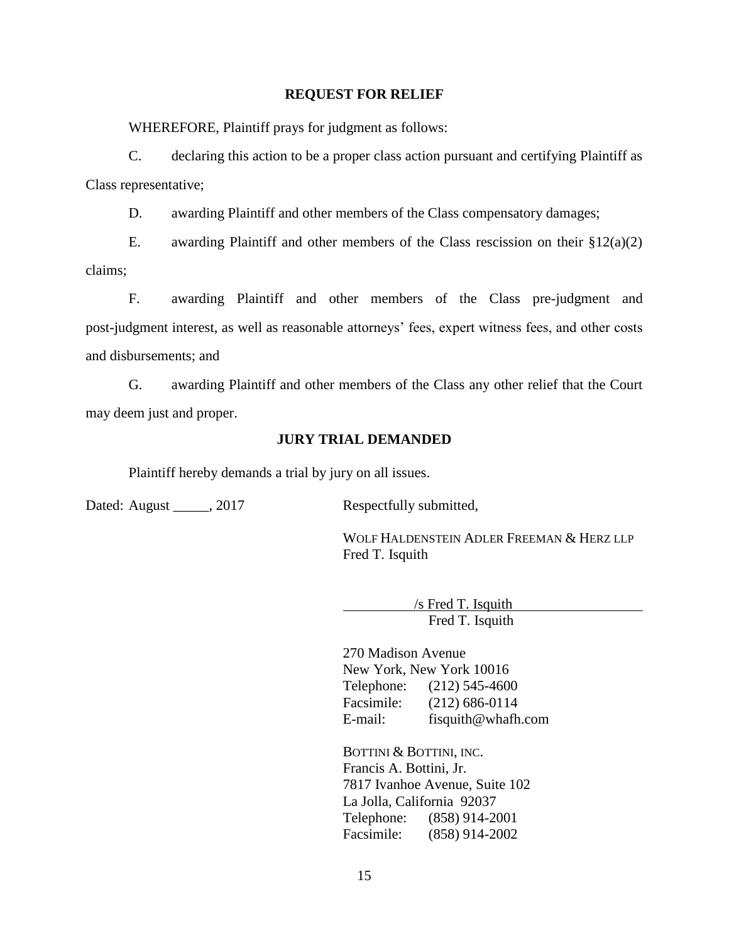## **REQUEST FOR RELIEF**

WHEREFORE, Plaintiff prays for judgment as follows:

C. declaring this action to be a proper class action pursuant and certifying Plaintiff as Class representative;

D. awarding Plaintiff and other members of the Class compensatory damages;

E. awarding Plaintiff and other members of the Class rescission on their  $$12(a)(2)$ claims;

F. awarding Plaintiff and other members of the Class pre-judgment and post-judgment interest, as well as reasonable attorneys' fees, expert witness fees, and other costs and disbursements; and

G. awarding Plaintiff and other members of the Class any other relief that the Court may deem just and proper.

# **JURY TRIAL DEMANDED**

Plaintiff hereby demands a trial by jury on all issues.

Dated: August 2017 Respectfully submitted,

WOLF HALDENSTEIN ADLER FREEMAN & HERZ LLP Fred T. Isquith

> /s Fred T. Isquith Fred T. Isquith

270 Madison Avenue New York, New York 10016 Telephone: (212) 545-4600 Facsimile: (212) 686-0114 E-mail: fisquith@whafh.com

BOTTINI & BOTTINI, INC. Francis A. Bottini, Jr. 7817 Ivanhoe Avenue, Suite 102 La Jolla, California 92037 Telephone: (858) 914-2001 Facsimile: (858) 914-2002